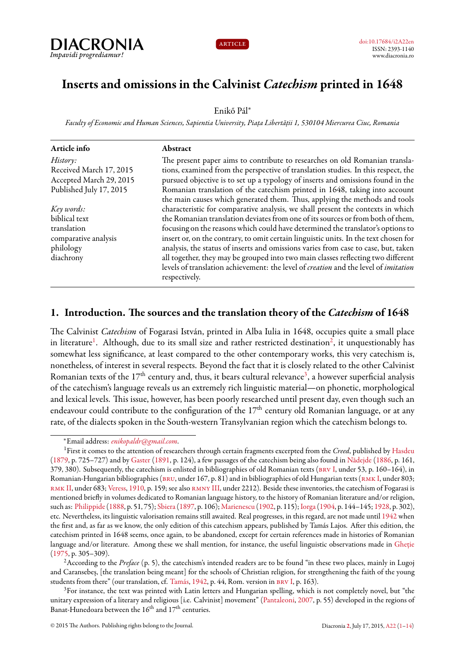



# **Inserts and omissions in the Calvinist** *Catechism* **printed in 1648**

Enikő Pál*<sup>∗</sup>*

*Faculty of Economic and Human Sciences, Sapientia University, Piața Libertății 1, 530104 Miercurea Ciuc, Romania*

| The present paper aims to contribute to researches on old Romanian transla-                       |
|---------------------------------------------------------------------------------------------------|
| tions, examined from the perspective of translation studies. In this respect, the                 |
| pursued objective is to set up a typology of inserts and omissions found in the                   |
| Romanian translation of the catechism printed in 1648, taking into account                        |
| the main causes which generated them. Thus, applying the methods and tools                        |
| characteristic for comparative analysis, we shall present the contexts in which                   |
| the Romanian translation deviates from one of its sources or from both of them,                   |
| focusing on the reasons which could have determined the translator's options to                   |
| insert or, on the contrary, to omit certain linguistic units. In the text chosen for              |
| analysis, the status of inserts and omissions varies from case to case, but, taken                |
| all together, they may be grouped into two main classes reflecting two different                  |
| levels of translation achievement: the level of <i>creation</i> and the level of <i>imitation</i> |
|                                                                                                   |
|                                                                                                   |

# <span id="page-0-0"></span>**1. Introduction. The sources and the translation theory of the** *Catechism* **of 1648**

The Calvinist *Catechism* of Fogarasi István, printed in Alba Iulia in 1648, occupies quite a small place in literature<sup>[1](#page-0-1)</sup>. Although, due to its small size and rather restricted destination<sup>[2](#page-0-2)</sup>, it unquestionably has somewhat less significance, at least compared to the other contemporary works, this very catechism is, nonetheless, of interest in several respects. Beyond the fact that it is closely related to the other Calvinist Romanian texts of the  $17^{\rm th}$  century and, thus, it bears cultural relevance $^3$  $^3$ , a however superficial analysis of the catechism's language reveals us an extremely rich linguistic material—on phonetic, morphological and lexical levels. This issue, however, has been poorly researched until present day, even though such an endeavour could contribute to the configuration of the  $17<sup>th</sup>$  century old Romanian language, or at any rate, of the dialects spoken in the South-western Transylvanian region which the catechism belongs to.

<span id="page-0-2"></span><sup>2</sup>According to the *Preface* (p. 5), the catechism's intended readers are to be found "in these two places, mainly in Lugoj and Caransebeș, [the translation being meant] for the schools of Christian religion, for strengthening the faith of the young students from there" (our translation, cf. [Tamás,](#page-13-15) [1942](#page-13-15), p. 44, Rom. version in BRV I, p. 163).

<span id="page-0-3"></span><sup>3</sup>For instance, the text was printed with Latin letters and Hungarian spelling, which is not completely novel, but "the unitary expression of a literary and religious [i.e. Calvinist] movement"([Pantaleoni](#page-13-17), [2007,](#page-13-17) p. 55) developed in the regions of Banat-Hunedoara between the  $16<sup>th</sup>$  and  $17<sup>th</sup>$  centuries.

<span id="page-0-1"></span>*<sup>∗</sup>*Email address: *[enikopaldr@gmail.com](mailto:enikopaldr@gmail.com)*.

<sup>1</sup>First it comes to the attention of researchers through certain fragments excerpted from the *Creed*, published by [Hasdeu](#page-13-1) ([1879](#page-13-1), p. 725–727) and by [Gaster](#page-13-2) [\(1891](#page-13-2), p. 124), a few passages of the catechism being also found in [Nădejde](#page-13-3) ([1886,](#page-13-3) p. 161, 379,380). Subsequently, the catechism is enlisted in bibliographies of old Romanian texts (BRV I, under 53, p. 160–164), in Romanian-Hungarianbibliographies (BRU, under 167, p. 81) and in bibliographies of old Hungarian texts (RMK I, under 803; RMK II, under 683; [Veress](#page-13-8), [1910,](#page-13-8) p. 159; see also RMNY III, under 2212). Beside these inventories, the catechism of Fogarasi is mentioned briefly in volumes dedicated to Romanian language history, to the history of Romanian literature and/or religion, such as: [Philippide](#page-13-10)([1888,](#page-13-10) p. 51, 75); [Sbiera](#page-13-11)([1897](#page-13-11), p. 106); [Marienescu](#page-13-12) [\(1902,](#page-13-12) p. 115);[Iorga\(1904,](#page-13-13) p. 144–145; [1928,](#page-13-14) p. 302), etc. Nevertheless, its linguistic valorisation remains still awaited. Real progresses, in this regard, are not made until [1942](#page-13-15) when the first and, as far as we know, the only edition of this catechism appears, published by Tamás Lajos. After this edition, the catechism printed in 1648 seems, once again, to be abandoned, except for certain references made in histories of Romanian language and/or literature. Among these we shall mention, for instance, the useful linguistic observations made in [Gheție](#page-13-16) ([1975](#page-13-16), p. 305–309).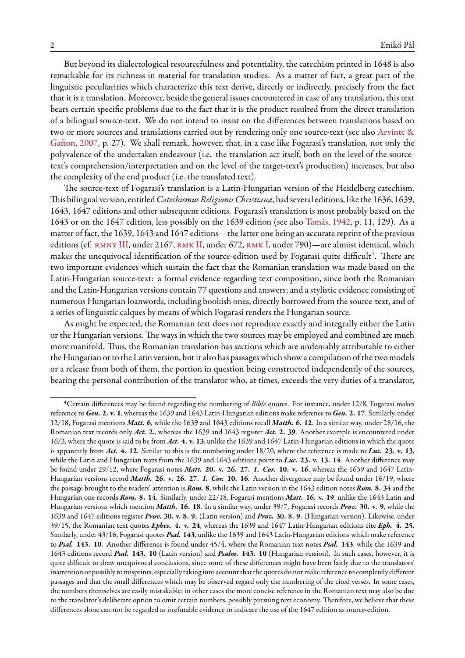But beyond its dialectological resourcefulness and potentiality, the catechism printed in 1648 is also remarkable for its richness in material for translation studies. As a matter of fact, a great part of the linguistic peculiarities which characterize this text derive, directly or indirectly, precisely from the fact that it is a translation. Moreover, beside the general issues encountered in case of any translation, this text bears certain specific problems due to the fact that it is the product resulted from the direct translation of a bilingual source-text. We do not intend to insist on the differences between translations based on two or more sources and translations carried out by rendering only one source-text (see also [Arvinte &](#page-13-18) [Gafton,](#page-13-18) [2007](#page-13-18), p. 27). We shall remark, however, that, in a case like Fogarasi's translation, not only the polyvalence of the undertaken endeavour (i.e. the translation act itself, both on the level of the sourcetext's comprehension/interpretation and on the level of the target-text's production) increases, but also the complexity of the end product (i.e. the translated text).

The source-text of Fogarasi's translation is a Latin-Hungarian version of the Heidelberg catechism. This bilingual version, entitled*Catechismus Religionis Christianæ*, had several editions, like the 1636, 1639, 1643, 1647 editions and other subsequent editions. Fogarasi's translation is most probably based on the 1643 or on the 1647 edition, less possibly on the 1639 edition (see also [Tamás](#page-13-15), [1942,](#page-13-15) p. 11, 129). As a matter of fact, the 1639, 1643 and 1647 editions—the latter one being an accurate reprint of the previous editions (cf. RMNY III, under 2167, RMK II, under 672, RMK I, under 790)—are almost identical, which makes the unequivocal identification of the source-edition used by Fogarasi quite difficult $^4$  $^4$ . There are two important evidences which sustain the fact that the Romanian translation was made based on the Latin-Hungarian source-text: a formal evidence regarding text composition, since both the Romanian and the Latin-Hungarian versions contain 77 questions and answers; and a stylistic evidence consisting of numerous Hungarian loanwords, including bookish ones, directly borrowed from the source-text, and of a series of linguistic calques by means of which Fogarasi renders the Hungarian source.

As might be expected, the Romanian text does not reproduce exactly and integrally either the Latin or the Hungarian versions. The ways in which the two sources may be employed and combined are much more manifold. Thus, the Romanian translation has sections which are undeniably attributable to either the Hungarian or to the Latin version, but it also has passages which show a compilation of the two models or a release from both of them, the portion in question being constructed independently of the sources, bearing the personal contribution of the translator who, at times, exceeds the very duties of a translator,

<span id="page-1-0"></span><sup>4</sup>Certain differences may be found regarding the numbering of *Bible* quotes. For instance, under 12/8, Fogarasi makes reference to *Gen.* **2. v. 1**, whereas the 1639 and 1643 Latin-Hungarian editions make reference to *Gen.* **2. 17**. Similarly, under 12/18, Fogarasi mentions *Matt.* **6**, while the 1639 and 1643 editions recall *Matth.* **6. 12**. In a similar way, under 28/16, the Romanian text records only *Act.* **2.**, whereas the 1639 and 1643 register *Act.* **2. 39**. Another example is encountered under 16/3, where the quote is said to be from *Act.* **4. v. 13**, unlike the 1639 and 1647 Latin-Hungarian editions in which the quote is apparently from *Act.* **4. 12**. Similar to this is the numbering under 18/20, where the reference is made to *Luc.* **23. v. 13**, while the Latin and Hungarian texts from the 1639 and 1643 editions point to *Luc.* **23. v. 13. 14**. Another difference may be found under 29/12, where Fogarasi notes *Matt.* **20. v. 26. 27.** *1. Cor.* **10. v. 16**, whereas the 1639 and 1647 Latin-Hungarian versions record *Matth.* **26. v. 26. 27.** *1. Cor.* **10. 16**. Another divergence may be found under 16/19, where the passage brought to the readers' attention is *Rom.* **8**, while the Latin version in the 1643 edition notes *Rom.* **8. 34** and the Hungarian one records *Rom.* **8. 14**. Similarly, under 22/18, Fogarasi mentions *Matt.* **16. v. 19**, unlike the 1643 Latin and Hungarian versions which mention *Matth.* **16. 18**. In a similar way, under 39/7, Fogarasi records *Prov.* **30. v. 9**, while the 1639 and 1647 editions register *Prov.* **30. v. 8. 9.** (Latin version) and *Prov.* **30. 8. 9.** (Hungarian version). Likewise, under 39/15, the Romanian text quotes *Ephes.* **4. v. 24**, whereas the 1639 and 1647 Latin-Hungarian editions cite *Eph.* **4. 25**. Similarly, under 43/16, Fogarasi quotes *Psal.* **143**, unlike the 1639 and 1643 Latin-Hungarian editions which make reference to *Psal.* **143. 10**. Another difference is found under 45/4, where the Romanian text notes *Psal.* **143**, while the 1639 and 1643 editions record *Psal.* **143. 10** (Latin version) and *Psalm.* **143. 10** (Hungarian version). In such cases, however, it is quite difficult to draw unequivocal conclusions, since some of these differences might have been fairly due to the translators' inattention or possibly to misprints, especially taking into account that the quotes do not make reference to completely different passages and that the small differences which may be observed regard only the numbering of the cited verses. In some cases, the numbers themselves are easily mistakable; in other cases the more concise reference in the Romanian text may also be due to the translator's deliberate option to omit certain numbers, possibly pursuing text economy. Therefore, we believe that these differences alone can not be regarded as irrefutable evidence to indicate the use of the 1647 edition as source-edition.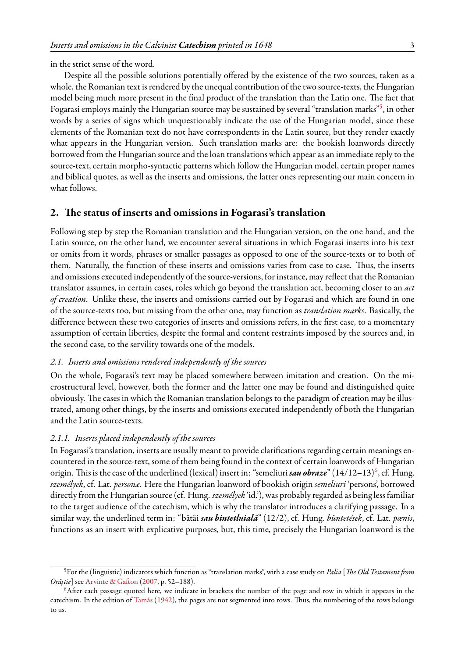in the strict sense of the word.

Despite all the possible solutions potentially offered by the existence of the two sources, taken as a whole, the Romanian text is rendered by the unequal contribution of the two source-texts, the Hungarian model being much more present in the final product of the translation than the Latin one. The fact that Fogarasi employs mainly the Hungarian source may be sustained by several "translation marks"<sup>[5](#page-2-0)</sup>, in other words by a series of signs which unquestionably indicate the use of the Hungarian model, since these elements of the Romanian text do not have correspondents in the Latin source, but they render exactly what appears in the Hungarian version. Such translation marks are: the bookish loanwords directly borrowed from the Hungarian source and the loan translations which appear as an immediate reply to the source-text, certain morpho-syntactic patterns which follow the Hungarian model, certain proper names and biblical quotes, as well as the inserts and omissions, the latter ones representing our main concern in what follows.

# **2. The status of inserts and omissions in Fogarasi's translation**

Following step by step the Romanian translation and the Hungarian version, on the one hand, and the Latin source, on the other hand, we encounter several situations in which Fogarasi inserts into his text or omits from it words, phrases or smaller passages as opposed to one of the source-texts or to both of them. Naturally, the function of these inserts and omissions varies from case to case. Thus, the inserts and omissions executed independently of the source-versions, for instance, may reflect that the Romanian translator assumes, in certain cases, roles which go beyond the translation act, becoming closer to an *act of creation*. Unlike these, the inserts and omissions carried out by Fogarasi and which are found in one of the source-texts too, but missing from the other one, may function as *translation marks*. Basically, the difference between these two categories of inserts and omissions refers, in the first case, to a momentary assumption of certain liberties, despite the formal and content restraints imposed by the sources and, in the second case, to the servility towards one of the models.

#### *2.1. Inserts and omissions rendered independently of the sources*

On the whole, Fogarasi's text may be placed somewhere between imitation and creation. On the microstructural level, however, both the former and the latter one may be found and distinguished quite obviously. The cases in which the Romanian translation belongs to the paradigm of creation may be illustrated, among other things, by the inserts and omissions executed independently of both the Hungarian and the Latin source-texts.

#### *2.1.1. Inserts placed independently of the sources*

In Fogarasi's translation, inserts are usually meant to provide clarifications regarding certain meanings encountered in the source-text, some of them being found in the context of certain loanwords of Hungarian origin. This is the case of the underlined (lexical) insert in: "semeliuri *sau obraze*" (14/12–13)<sup>[6](#page-2-1)</sup>, cf. Hung. *személyek*, cf. Lat. *personæ*. Here the Hungarian loanword of bookish origin *semeliuri* 'persons', borrowed directly from the Hungarian source (cf. Hung. *személyek* 'id.'), was probably regarded as being less familiar to the target audience of the catechism, which is why the translator introduces a clarifying passage. In a similar way, the underlined term in: "bătăi *sau bintetluială*" (12/2), cf. Hung. *büntetések*, cf. Lat. *pœnis*, functions as an insert with explicative purposes, but, this time, precisely the Hungarian loanword is the

<span id="page-2-0"></span><sup>5</sup>For the (linguistic) indicators which function as "translation marks", with a case study on *Palia* [*The Old Testament from Orăștie*] see [Arvinte & Gafton](#page-13-18) [\(2007,](#page-13-18) p. 52–188).

<span id="page-2-1"></span><sup>&</sup>lt;sup>6</sup>After each passage quoted here, we indicate in brackets the number of the page and row in which it appears in the catechism. In the edition of [Tamás](#page-13-15) [\(1942](#page-13-15)), the pages are not segmented into rows. Thus, the numbering of the rows belongs to us.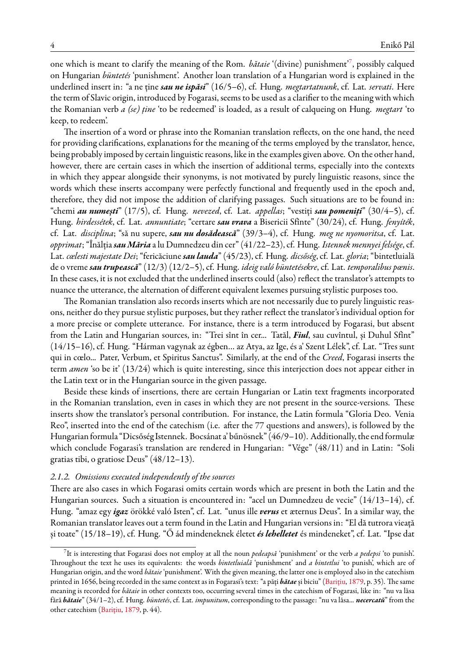one which is meant to clarify the meaning of the Rom. *bătaie* '(divine) punishment'[7](#page-3-0) , possibly calqued on Hungarian *büntetés* 'punishment'. Another loan translation of a Hungarian word is explained in the underlined insert in: "a ne ține *sau ne ispăsi*" (16/5–6), cf. Hung. *megtartatnunk*, cf. Lat. *servati*. Here the term of Slavic origin, introduced by Fogarasi, seems to be used as a clarifier to the meaning with which the Romanian verb *a (se) ține* 'to be redeemed' is loaded, as a result of calqueing on Hung. *megtart* 'to keep, to redeem'.

The insertion of a word or phrase into the Romanian translation reflects, on the one hand, the need for providing clarifications, explanations for the meaning of the terms employed by the translator, hence, being probably imposed by certain linguistic reasons, like in the examples given above. On the other hand, however, there are certain cases in which the insertion of additional terms, especially into the contexts in which they appear alongside their synonyms, is not motivated by purely linguistic reasons, since the words which these inserts accompany were perfectly functional and frequently used in the epoch and, therefore, they did not impose the addition of clarifying passages. Such situations are to be found in: "chemi *au numești*" (17/5), cf. Hung. *nevezed*, cf. Lat. *appellas*; "vestiți *sau pomeniți*" (30/4–5), cf. Hung. *hirdessétek*, cf. Lat. *annuntiate*; "certare *sau vrava* a Bisericii Sfînte" (30/24), cf. Hung. *fenyíték*, cf. Lat. *disciplina*; "să nu supere, *sau nu dosădească*" (39/3–4), cf. Hung. *meg ne nyomoritsa*, cf. Lat. *opprimat*; "Înălția*sau Măria* a lu Dumnedzeu din cer" (41/22–23), cf. Hung. *Istennek mennyei felsége*, cf. Lat. *cœlesti majestate Dei*; "fericăciune*sau lauda*" (45/23), cf. Hung. *dicsőség*, cf. Lat. *gloria*; "bintetluială de o vreme*sau trupească*" (12/3) (12/2–5), cf. Hung. *ideig való büntetésekre*, cf. Lat. *temporalibus pœnis*. In these cases, it is not excluded that the underlined inserts could (also) reflect the translator's attempts to nuance the utterance, the alternation of different equivalent lexemes pursuing stylistic purposes too.

The Romanian translation also records inserts which are not necessarily due to purely linguistic reasons, neither do they pursue stylistic purposes, but they rather reflect the translator's individual option for a more precise or complete utterance. For instance, there is a term introduced by Fogarasi, but absent from the Latin and Hungarian sources, in: "Trei sînt în cer... Tatăl, *Fiul*, sau cuvîntul, și Duhul Sfînt" (14/15–16), cf. Hung. "Hárman vagynak az égben… az Atya, az Ige, és a' Szent Lélek", cf. Lat. "Tres sunt qui in cœlo... Pater, Verbum, et Spiritus Sanctus". Similarly, at the end of the *Creed*, Fogarasi inserts the term *amen* 'so be it' (13/24) which is quite interesting, since this interjection does not appear either in the Latin text or in the Hungarian source in the given passage.

Beside these kinds of insertions, there are certain Hungarian or Latin text fragments incorporated in the Romanian translation, even in cases in which they are not present in the source-versions. These inserts show the translator's personal contribution. For instance, the Latin formula "Gloria Deo. Venia Reo", inserted into the end of the catechism (i.e. after the 77 questions and answers), is followed by the Hungarian formula "Dicsőség Istennek. Bocsánat a' bűnösnek" (46/9–10). Additionally, the end formulæ which conclude Fogarasi's translation are rendered in Hungarian: "Vége" (48/11) and in Latin: "Soli gratias tibi, o gratiose Deus" (48/12–13).

#### *2.1.2. Omissions executed independently of the sources*

There are also cases in which Fogarasi omits certain words which are present in both the Latin and the Hungarian sources. Such a situation is encountered in: "acel un Dumnedzeu de vecie" (14/13–14), cf. Hung. "amaz egy *igaz* örökké való Isten", cf. Lat. "unus ille *verus* et æternus Deus". In a similar way, the Romanian translator leaves out a term found in the Latin and Hungarian versions in: "El dă tutrora vieață și toate" (15/18–19), cf. Hung. "Ő ád mindeneknek életet *és lehelletet* és mindeneket", cf. Lat. "Ipse dat

<span id="page-3-0"></span><sup>7</sup> It is interesting that Fogarasi does not employ at all the noun *pedeapsă* 'punishment' or the verb *a pedepsi* 'to punish'. Throughout the text he uses its equivalents: the words *bintetluială* 'punishment' and *a bintetlui* 'to punish', which are of Hungarian origin, and the word *bătaie* 'punishment'. With the given meaning, the latter one is employed also in the catechism printed in 1656, being recorded in the same context as in Fogarasi's text: "a păți *bătae*și biciu" [\(Barițiu,](#page-13-19) [1879,](#page-13-19) p. 35). The same meaning is recorded for *bătaie* in other contexts too, occurring several times in the catechism of Fogarasi, like in: "nu va lăsa fără *bătaie*" (34/1–2), cf. Hung. *büntetés*, cf. Lat. *impunitum*, corresponding to the passage: "nu va lăsa... *necercatŭ*" from the other catechism [\(Barițiu](#page-13-19), [1879,](#page-13-19) p. 44).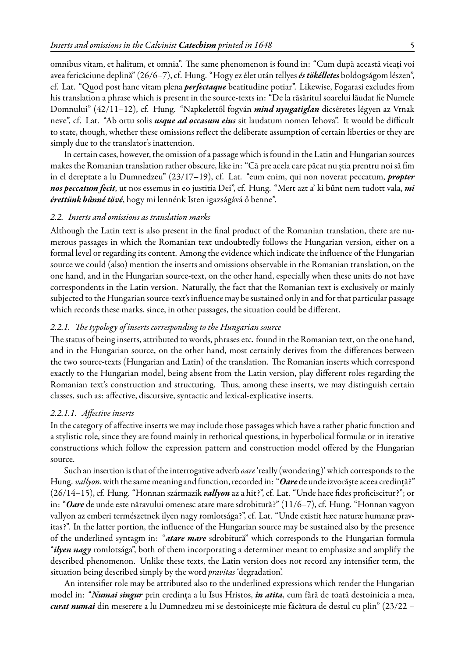omnibus vitam, et halitum, et omnia". The same phenomenon is found in: "Cum după această vieați voi avea fericăciune deplină" (26/6–7), cf. Hung. "Hogy ez élet után tellyes*és tökélletes* boldogságom lészen", cf. Lat. "Quod post hanc vitam plena *perfectaque* beatitudine potiar". Likewise, Fogarasi excludes from his translation a phrase which is present in the source-texts in: "De la răsăritul soarelui lăudat fie Numele Domnului" (42/11–12), cf. Hung. "Napkelettől fogván *mind nyugatiglan* dicséretes légyen az Vrnak neve", cf. Lat. "Ab ortu solis *usque ad occasum eius* sit laudatum nomen Iehova". It would be difficult to state, though, whether these omissions reflect the deliberate assumption of certain liberties or they are simply due to the translator's inattention.

In certain cases, however, the omission of a passage which is found in the Latin and Hungarian sources makes the Romanian translation rather obscure, like in: "Că pre acela care păcat nu știa prentru noi să fim în el dereptate a lu Dumnedzeu" (23/17–19), cf. Lat. "eum enim, qui non noverat peccatum, *propter nos peccatum fecit*, ut nos essemus in eo justitia Dei", cf. Hung. "Mert azt a' ki bűnt nem tudott vala, *mi érettünk bűnné tövé*, hogy mi lennénk Isten igazságává ő benne".

#### *2.2. Inserts and omissions as translation marks*

Although the Latin text is also present in the final product of the Romanian translation, there are numerous passages in which the Romanian text undoubtedly follows the Hungarian version, either on a formal level or regarding its content. Among the evidence which indicate the influence of the Hungarian source we could (also) mention the inserts and omissions observable in the Romanian translation, on the one hand, and in the Hungarian source-text, on the other hand, especially when these units do not have correspondents in the Latin version. Naturally, the fact that the Romanian text is exclusively or mainly subjected to the Hungarian source-text's influence may be sustained only in and for that particular passage which records these marks, since, in other passages, the situation could be different.

#### *2.2.1. The typology of inserts corresponding to the Hungarian source*

The status of being inserts, attributed to words, phrases etc. found in the Romanian text, on the one hand, and in the Hungarian source, on the other hand, most certainly derives from the differences between the two source-texts (Hungarian and Latin) of the translation. The Romanian inserts which correspond exactly to the Hungarian model, being absent from the Latin version, play different roles regarding the Romanian text's construction and structuring. Thus, among these inserts, we may distinguish certain classes, such as: affective, discursive, syntactic and lexical-explicative inserts.

### *2.2.1.1. Affective inserts*

In the category of affective inserts we may include those passages which have a rather phatic function and a stylistic role, since they are found mainly in rethorical questions, in hyperbolical formulæ or in iterative constructions which follow the expression pattern and construction model offered by the Hungarian source.

Such an insertion is that of the interrogative adverb *oare*'really (wondering)' which corresponds to the Hung. *vallyon*, with the same meaning andfunction, recorded in: "*Oare* de unde izvorăște aceea credință?" (26/14–15), cf. Hung. "Honnan származik *vallyon* az a hit?", cf. Lat. "Unde hace fides proficiscitur?"; or in: "*Oare* de unde este năravului omenesc atare mare sdrobitură?" (11/6–7), cf. Hung. "Honnan vagyon vallyon az emberi természetnek ilyen nagy romlotsága?", cf. Lat. "Unde existit hæc naturæ humanæ pravitas?". In the latter portion, the influence of the Hungarian source may be sustained also by the presence of the underlined syntagm in: "*atare mare* sdrobitură" which corresponds to the Hungarian formula "*ilyen nagy* romlotsága", both of them incorporating a determiner meant to emphasize and amplify the described phenomenon. Unlike these texts, the Latin version does not record any intensifier term, the situation being described simply by the word *pravitas* 'degradation'.

An intensifier role may be attributed also to the underlined expressions which render the Hungarian model in: "*Numai singur* prin credința a lu Isus Hristos, *în atîta*, cum fără de toată destoinicia a mea, *curat numai* din meserere a lu Dumnedzeu mi se destoinicește mie făcătura de destul cu plin" (23/22 –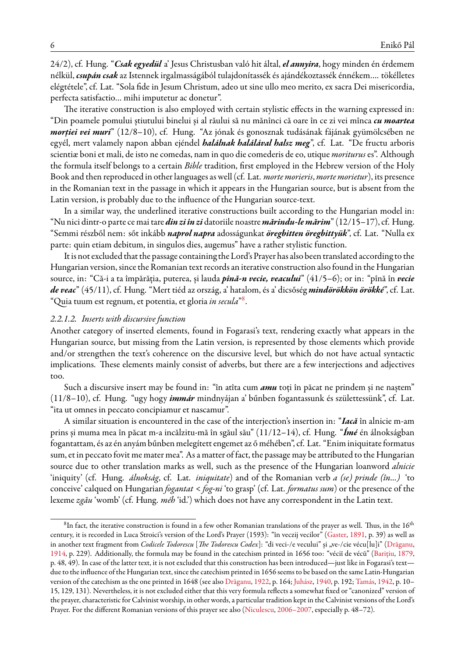24/2), cf. Hung. "*Csak egyedül* a' Jesus Christusban való hit által, *el annyira*, hogy minden én érdemem nélkül, *csupán csak* az Istennek irgalmasságából tulajdonítassék és ajándékoztassék énnékem…. tökélletes elégtétele", cf. Lat. "Sola fide in Jesum Christum, adeo ut sine ullo meo merito, ex sacra Dei misericordia, perfecta satisfactio… mihi imputetur ac donetur".

The iterative construction is also employed with certain stylistic effects in the warning expressed in: "Din poamele pomului știutului binelui și al răului să nu mănînci că oare în ce zi vei mînca *cu moartea morției vei muri*" (12/8–10), cf. Hung. "Az jónak és gonosznak tudásának fájának gyümölcsében ne egyél, mert valamely napon abban ejéndel *halálnak halálával halsz meg*", cf. Lat. "De fructu arboris scientiæ boni et mali, de isto ne comedas, nam in quo die comederis de eo, utique *moriturus*es". Although the formula itself belongs to a certain *Bible* tradition, first employed in the Hebrew version of the Holy Book and then reproduced in other languages as well (cf. Lat. *morte morieris*, *morte morietur*), its presence in the Romanian text in the passage in which it appears in the Hungarian source, but is absent from the Latin version, is probably due to the influence of the Hungarian source-text.

In a similar way, the underlined iterative constructions built according to the Hungarian model in: "Nu nici dintr-o parte ce mai tare *din ziîn zi* datoriile noastre*mărindu-le mărim*" (12/15–17), cf. Hung. "Semmi részből nem: sőt inkább *naprol napra* adosságunkat *öregbitten öregbittyük*", cf. Lat. "Nulla ex parte: quin etiam debitum, in singulos dies, augemus" have a rather stylistic function.

It is not excluded that the passage containing the Lord's Prayer has also been translated according to the Hungarian version, since the Romanian text records an iterative construction also found in the Hungarian source, in: "Că-i a ta împărăția, puterea, și lauda *pînă-n vecie, veacului*" (41/5–6); or in: "pînă în *vecie de veac*" (45/11), cf. Hung. "Mert tiéd az ország, a' hatalom, és a' dicsőség *mindörökkön örökké*", cf. Lat. "Quia tuum est regnum, et potentia, et gloria*in secula*" [8](#page-5-0) .

#### *2.2.1.2. Inserts with discursive function*

Another category of inserted elements, found in Fogarasi's text, rendering exactly what appears in the Hungarian source, but missing from the Latin version, is represented by those elements which provide and/or strengthen the text's coherence on the discursive level, but which do not have actual syntactic implications. These elements mainly consist of adverbs, but there are a few interjections and adjectives too.

Such a discursive insert may be found in: "în atîta cum *amu* toți în păcat ne prindem și ne naștem" (11/8–10), cf. Hung. "ugy hogy *immár* mindnyájan a' bűnben fogantassunk és születtessünk", cf. Lat. "ita ut omnes in peccato concipiamur et nascamur".

A similar situation is encountered in the case of the interjection's insertion in: "*Iacă* în alnicie m-am prins și muma mea în păcat m-a incălzitu-mă în sgăul său" (11/12–14), cf. Hung. "*Ímé* én álnokságban fogantattam, és az én anyám bűnben melegített engemet az ő méhében", cf. Lat. "Enim iniquitate formatus sum, et in peccato fovit me mater mea". As a matter of fact, the passage may be attributed to the Hungarian source due to other translation marks as well, such as the presence of the Hungarian loanword *alnicie* 'iniquity' (cf. Hung. *álnokság*, cf. Lat. *iniquitate*) and of the Romanian verb *a (se) prinde (în...)* 'to conceive' calqued on Hungarian *fogantat* < *fog-ni* 'to grasp' (cf. Lat. *formatus sum*) or the presence of the lexeme *zgău* 'womb' (cf. Hung. *méh* 'id.') which does not have any correspondent in the Latin text.

<span id="page-5-0"></span> $^8$ In fact, the iterative construction is found in a few other Romanian translations of the prayer as well. Thus, in the  $16^{\rm th}$ century, it is recorded in Luca Stroici's version of the Lord's Prayer (1593): "în veczij vecilor"([Gaster,](#page-13-2) [1891](#page-13-2), p. 39) as well as inanother text fragment from *Codicele Todorescu* [*The Todorescu Codex*]: "di veci-/e vecului" și "ve-/cie vécu[lu]i" ([Drăganu,](#page-13-20) [1914,](#page-13-20) p. 229). Additionally, the formula may be found in the catechism printed in 1656 too: "véciĭ de vécŭ"([Barițiu,](#page-13-19) [1879,](#page-13-19) p. 48, 49). In case of the latter text, it is not excluded that this construction has been introduced—just like in Fogarasi's text due to the influence of the Hungarian text, since the catechism printed in 1656 seems to be based on the same Latin-Hungarian version of the catechism as the one printed in 1648 (see also [Drăganu](#page-13-21), [1922,](#page-13-21) p. 164; [Juhász](#page-13-22), [1940,](#page-13-22) p. 192; [Tamás,](#page-13-15) [1942,](#page-13-15) p. 10– 15, 129, 131). Nevertheless, it is not excluded either that this very formula reflects a somewhat fixed or "canonized" version of the prayer, characteristic for Calvinist worship, in other words, a particular tradition kept in the Calvinist versions of the Lord's Prayer. For the different Romanian versions of this prayer see also([Niculescu,](#page-13-23) [2006–2007](#page-13-23), especially p. 48–72).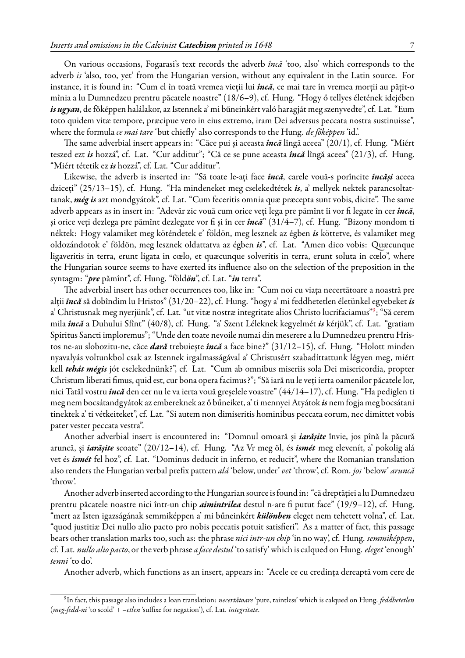On various occasions, Fogarasi's text records the adverb *încă* 'too, also' which corresponds to the adverb *is* 'also, too, yet' from the Hungarian version, without any equivalent in the Latin source. For instance, it is found in: "Cum el în toată vremea vieții lui *încă*, ce mai tare în vremea morții au pățit-o mînia a lu Dumnedzeu prentru păcatele noastre" (18/6–9), cf. Hung. "Hogy ő tellyes életének idejében *is ugyan*, de főképpen halálakor, az Istennek a' mi bűneinkért való haragját meg szenyvedte", cf. Lat. "Eum toto quidem vitæ tempore, præcipue vero in eius extremo, iram Dei adversus peccata nostra sustinuisse", where the formula *ce mai tare* 'but chiefly' also corresponds to the Hung. *de főképpen* 'id.'.

The same adverbial insert appears in: "Căce pui și aceasta *încă* lîngă aceea" (20/1), cf. Hung. "Miért teszed ezt *is* hozzá", cf. Lat. "Cur additur"; "Că ce se pune aceasta *încă* lîngă aceea" (21/3), cf. Hung. "Miért tétetik ez *is* hozzá", cf. Lat. "Cur additur".

Likewise, the adverb is inserted in: "Să toate le-ați face *încă*, carele vouă-s porîncite *încăși* aceea dziceți" (25/13–15), cf. Hung. "Ha mindeneket meg cselekedtétek *is*, a' mellyek nektek parancsoltattanak, *még is* azt mondgyátok", cf. Lat. "Cum feceritis omnia quæ præcepta sunt vobis, dicite". The same adverb appears as in insert in: "Adevăr zic vouă cum orice veți lega pre pămînt îi vor fi legate în cer *încă*, și orice veți dezlega pre pămînt dezlegate vor fi și în cer *încă*" (31/4–7), cf. Hung. "Bizony mondom ti néktek: Hogy valamiket meg köténdetek e' földön, meg lesznek az égben *is* köttetve, és valamiket meg oldozándotok e' földön, meg lesznek oldattatva az égben *is*", cf. Lat. "Amen dico vobis: Quæcunque ligaveritis in terra, erunt ligata in cœlo, et quæcunque solveritis in terra, erunt soluta in cœlo", where the Hungarian source seems to have exerted its influence also on the selection of the preposition in the syntagm: "*pre* pămînt", cf. Hung. "föld*ön*", cf. Lat. "*in* terra".

The adverbial insert has other occurrences too, like in: "Cum noi cu viața necertătoare a noastră pre alții *încă* să dobîndim lu Hristos" (31/20–22), cf. Hung. "hogy a' mi feddhetetlen életünkel egyebeket *is* a' Christusnak meg nyerjünk", cf. Lat. "ut vitæ nostræ integritate alios Christo lucrifaciamus"<sup>[9](#page-6-0)</sup>; "Să cerem mila *încă* a Duhului Sfînt" (40/8), cf. Hung. "a' Szent Léleknek kegyelmét *is* kérjük", cf. Lat. "gratiam Spiritus Sancti imploremus"; "Unde den toate nevoile numai din meserere a lu Dumnedzeu prentru Hristos ne-au slobozitu-ne, căce *dară* trebuiește *încă* a face bine?" (31/12–15), cf. Hung. "Holott minden nyavalyás voltunkbol csak az Istennek irgalmasságával a' Christusért szabadíttattunk légyen meg, miért kell *tehát mégis* jót cselekednünk?", cf. Lat. "Cum ab omnibus miseriis sola Dei misericordia, propter Christum liberati fimus, quid est, cur bona opera facimus?"; "Să iară nu le veți ierta oamenilor păcatele lor, nici Tatăl vostru *încă* den cer nu le va ierta vouă greșelele voastre" (44/14–17), cf. Hung. "Ha pediglen ti meg nem bocsátandgyátok az embereknek az ő bűneiket, a' ti mennyei Atyátok *is* nem fogja meg bocsátani tinektek a' ti vétkeiteket", cf. Lat. "Si autem non dimiseritis hominibus peccata eorum, nec dimittet vobis pater vester peccata vestra".

Another adverbial insert is encountered in: "Domnul omoară și *iarășite* învie, jos pînă la păcură aruncă, și *iarășite* scoate" (20/12–14), cf. Hung. "Az Vr meg öl, és *ismét* meg elevenít, a' pokolig alá vet és *ismét* fel hoz", cf. Lat. "Dominus deducit in inferno, et reducit", where the Romanian translation also renders the Hungarian verbal prefix pattern *alá* 'below, under' *vet* 'throw', cf. Rom. *jos* 'below' *aruncă* 'throw'.

Another adverb inserted according to theHungarian source isfound in: "că dreptăției a lu Dumnedzeu prentru păcatele noastre nici într-un chip *aimintrilea* destul n-are fi putut face" (19/9–12), cf. Hung. "mert az Isten igazságának semmiképpen a' mi bűneinkért *különben* eleget nem tehetett volna", cf. Lat. "quod justitiæ Dei nullo alio pacto pro nobis peccatis potuit satisfieri". As a matter of fact, this passage bears other translation marks too, such as: the phrase *nici intr-un chip* 'in no way', cf. Hung. *semmiképpen*, cf. Lat. *nullo alio pacto*, or the verb phrase *a face destul* 'to satisfy' which is calqued on Hung. *eleget* 'enough' *tenni* 'to do'.

Another adverb, which functions as an insert, appears in: "Acele ce cu credința dereaptă vom cere de

<span id="page-6-0"></span><sup>9</sup> In fact, this passage also includes a loan translation: *necertătoare* 'pure, taintless' which is calqued on Hung. *feddhetetlen* (*meg-fedd-ni* 'to scold' + *–etlen* 'suffixe for negation'), cf. Lat. *integritate*.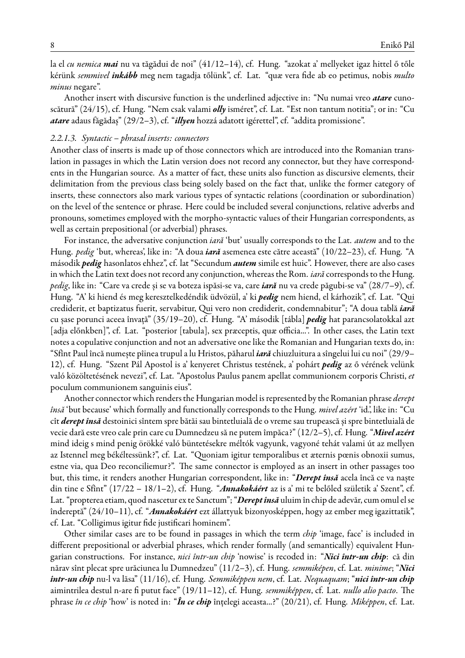la el *cu nemica mai* nu va tăgădui de noi" (41/12–14), cf. Hung. "azokat a' mellyeket igaz hittel ő tőle kérünk *semmivel inkább* meg nem tagadja tőlünk", cf. Lat. "quæ vera fide ab eo petimus, nobis *multo minus* negare".

Another insert with discursive function is the underlined adjective in: "Nu numai vreo *atare* cunoscătură" (24/15), cf. Hung. "Nem csak valami *olly* isméret", cf. Lat. "Est non tantum notitia"; or in: "Cu *atare*adaus făgădaș" (29/2–3), cf. "*illyen* hozzá adatott igérettel", cf. "addita promissione".

### *2.2.1.3. Syntactic – phrasal inserts: connectors*

Another class of inserts is made up of those connectors which are introduced into the Romanian translation in passages in which the Latin version does not record any connector, but they have correspondents in the Hungarian source. As a matter of fact, these units also function as discursive elements, their delimitation from the previous class being solely based on the fact that, unlike the former category of inserts, these connectors also mark various types of syntactic relations (coordination or subordination) on the level of the sentence or phrase. Here could be included several conjunctions, relative adverbs and pronouns, sometimes employed with the morpho-syntactic values of their Hungarian correspondents, as well as certain prepositional (or adverbial) phrases.

For instance, the adversative conjunction *iară* 'but' usually corresponds to the Lat. *autem* and to the Hung. *pedig* 'but, whereas', like in: "A doua *iară* asemenea este către această" (10/22–23), cf. Hung. "A második *pedig* hasonlatos ehhez", cf. lat "Secundum *autem* simile est huic". However, there are also cases in which the Latin text does not record any conjunction, whereas the Rom. *iară* corresponds to the Hung. *pedig*, like in: "Care va crede și se va boteza ispăsi-se va, care *iară* nu va crede păgubi-se va" (28/7–9), cf. Hung. "A' ki hiend és meg keresztelkedéndik üdvözül, a' ki *pedig* nem hiend, el kárhozik", cf. Lat. "Qui crediderit, et baptizatus fuerit, servabitur, Qui vero non crediderit, condemnabitur"; "A doua tablă *iară* cu șase porunci aceea învață" (35/19–20), cf. Hung. "A' második [tábla] *pedig* hat parancsolatokkal azt [adja előnkben]", cf. Lat. "posterior [tabula], sex præceptis, quæ officia...". In other cases, the Latin text notes a copulative conjunction and not an adversative one like the Romanian and Hungarian texts do, in: "Sfînt Paul încă numește pîinea trupul a lu Hristos, păharul *iară* chiuzluitura a sîngelui lui cu noi" (29/9– 12), cf. Hung. "Szent Pál Apostol is a' kenyeret Christus testének, a' pohárt *pedig* az ő vérének velünk való közöltetésének nevezi", cf. Lat. "Apostolus Paulus panem apellat communionem corporis Christi, *et* poculum communionem sanguinis eius".

Another connector which renders the Hungarian model is represented by the Romanian phrase *derept însă* 'but because' which formally and functionally corresponds to the Hung. *mivel azért* 'id.', like in: "Cu cît *derept însă* destoinici sîntem spre bătăi sau bintetluială de o vreme sau trupească și spre bintetluială de vecie dară este vreo cale prin care cu Dumnedzeu să ne putem împăca?" (12/2–5), cf. Hung. "*Mivel azért* mind ideig s mind penig örökké való büntetésekre méltók vagyunk, vagyoné tehát valami út az mellyen az Istennel meg békéltessünk?", cf. Lat. "Quoniam igitur temporalibus et æternis pœnis obnoxii sumus, estne via, qua Deo reconciliemur?". The same connector is employed as an insert in other passages too but, this time, it renders another Hungarian correspondent, like in: "*Derept însă* acela încă ce va naște din tine e Sfînt" (17/22 – 18/1–2), cf. Hung. "*Annakokáért* az is a' mi te belőled születik a' Szent", cf. Lat. "propterea etiam, quod nascetur ex te Sanctum"; "*Dereptînsă* uluim în chip de adevăr, cum omul el se îndereptă" (24/10–11), cf. "*Annakokáért* ezt állattyuk bizonyosképpen, hogy az ember meg igazittatik", cf. Lat. "Colligimus igitur fide justificari hominem".

Other similar cases are to be found in passages in which the term *chip* 'image, face' is included in different prepositional or adverbial phrases, which render formally (and semantically) equivalent Hungarian constructions. For instance, *nici într-un chip* 'nowise' is recoded in: "*Nici într-un chip*: că din nărav sînt plecat spre urăciunea lu Dumnedzeu" (11/2–3), cf. Hung. *semmiképen*, cf. Lat. *minime*; "*Nici într-un chip* nu-l va lăsa" (11/16), cf. Hung. *Semmiképpen nem*, cf. Lat. *Nequaquam*; "*nici într-un chip* aimintrilea destul n-are fi putut face" (19/11–12), cf. Hung. *semmiképpen*, cf. Lat. *nullo alio pacto*. The phrase *în ce chip* 'how' is noted in: "*În ce chip* înțelegi aceasta...?" (20/21), cf. Hung. *Miképpen*, cf. Lat.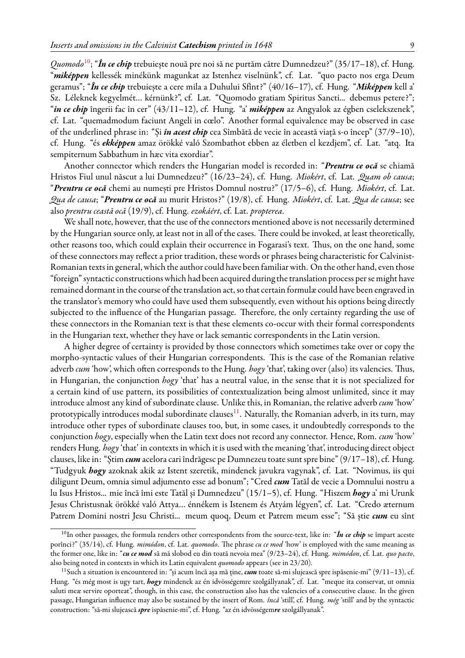*Quomodo*[10](#page-8-0); "*În ce chip* trebuiește nouă pre noi să ne purtăm către Dumnedzeu?" (35/17–18), cf. Hung. "*miképpen* kellessék minékünk magunkat az Istenhez viselnünk", cf. Lat. "quo pacto nos erga Deum geramus"; "*În ce chip* trebuiește a cere mila a Duhului Sfînt?" (40/16–17), cf. Hung. "*Miképpen* kell a' Sz. Léleknek kegyelmét… kérnünk?", cf. Lat. "Quomodo gratiam Spiritus Sancti... debemus petere?"; "*în ce chip* îngerii fac în cer" (43/11–12), cf. Hung. "a' *miképpen* az Angyalok az égben cselekszenek", cf. Lat. "quemadmodum faciunt Angeli in cœlo". Another formal equivalence may be observed in case of the underlined phrase in: "Și *în acest chip* cea Sîmbătă de vecie în această viață s-o încep" (37/9–10), cf. Hung. "és *ekképpen* amaz örökké való Szombathot ebben az életben el kezdjem", cf. Lat. "atq. Ita sempiternum Sabbathum in hæc vita exordiar".

Another connector which renders the Hungarian model is recorded in: "*Prentru ce ocă* se chiamă Hristos Fiul unul născut a lui Dumnedzeu?" (16/23–24), cf. Hung. *Miokért*, cf. Lat. *Quam ob causa*; "*Prentru ce ocă* chemi au numești pre Hristos Domnul nostru?" (17/5–6), cf. Hung. *Miokért*, cf. Lat. *Qua de causa*; "*Prentru ce ocă* au murit Hristos?" (19/8), cf. Hung. *Miokért*, cf. Lat. *Qua de causa*; see also *prentru ceastă ocă* (19/9), cf. Hung. *ezokáért*, cf. Lat. *propterea*.

We shall note, however, that the use of the connectors mentioned above is not necessarily determined by the Hungarian source only, at least not in all of the cases. There could be invoked, at least theoretically, other reasons too, which could explain their occurrence in Fogarasi's text. Thus, on the one hand, some of these connectors may reflect a prior tradition, these words or phrases being characteristic for Calvinist-Romanian texts in general, which the author could have been familiar with. On the other hand, even those "foreign" syntactic constructions which had been acquired during the translation process per se might have remained dormant in the course of the translation act, so that certain formulæ could have been engraved in the translator's memory who could have used them subsequently, even without his options being directly subjected to the influence of the Hungarian passage. Therefore, the only certainty regarding the use of these connectors in the Romanian text is that these elements co-occur with their formal correspondents in the Hungarian text, whether they have or lack semantic correspondents in the Latin version.

A higher degree of certainty is provided by those connectors which sometimes take over or copy the morpho-syntactic values of their Hungarian correspondents. This is the case of the Romanian relative adverb *cum* 'how', which often corresponds to the Hung. *hogy* 'that', taking over (also) its valencies. Thus, in Hungarian, the conjunction *hogy* 'that' has a neutral value, in the sense that it is not specialized for a certain kind of use pattern, its possibilities of contextualization being almost unlimited, since it may introduce almost any kind of subordinate clause. Unlike this, in Romanian, the relative adverb *cum* 'how' prototypically introduces modal subordinate clauses<sup>[11](#page-8-1)</sup>. Naturally, the Romanian adverb, in its turn, may introduce other types of subordinate clauses too, but, in some cases, it undoubtedly corresponds to the conjunction *hogy*, especially when the Latin text does not record any connector. Hence, Rom. *cum* 'how' renders Hung. *hogy*'that' in contexts in which it is used with the meaning 'that', introducing direct object clauses, like in: "Știm *cum* acelora cari îndrăgesc pe Dumnezeu toate sunt spre bine" (9/17–18), cf. Hung. "Tudgyuk *hogy* azoknak akik az Istent szeretik, mindenek javukra vagynak", cf. Lat. "Novimus, iis qui diligunt Deum, omnia simul adjumento esse ad bonum"; "Cred *cum* Tatăl de vecie a Domnului nostru a lu Isus Hristos... mie încă îmi este Tatăl și Dumnedzeu" (15/1–5), cf. Hung. "Hiszem *hogy* a' mi Urunk Jesus Christusnak örökké való Attya… énnékem is Istenem és Atyám légyen", cf. Lat. "Credo æternum Patrem Domini nostri Jesu Christi... meum quoq, Deum et Patrem meum esse"; "Să știe *cum* eu sînt

<span id="page-8-0"></span><sup>&</sup>lt;sup>10</sup>In other passages, the formula renders other correspondents from the source-text, like in: "*În ce chip* se împart aceste porînci?" (35/14), cf. Hung. *mimódon*, cf. Lat. *quomodo*. The phrase *cu ce mod* 'how' is employed with the same meaning as the former one, like in: "*cu ce mod* să mă slobod eu din toată nevoia mea" (9/23–24), cf. Hung. *mimódon*, cf. Lat. *quo pacto*, also being noted in contexts in which its Latin equivalent *quomodo* appears (see in 23/20).

<span id="page-8-1"></span><sup>11</sup>Such a situation is encountered in: "și acum încă așa mă ține, *cum* toate să-mi slujească spre ispăsenie-mi" (9/11–13), cf. Hung. "és még most is ugy tart, *hogy* mindenek az én idvösségemre szolgállyanak", cf. Lat. "meque ita conservat, ut omnia saluti meæ servire oporteat", though, in this case, the construction also has the valencies of a consecutive clause. In the given passage, Hungarian influence may also be sustained by the insert of Rom. *încă* 'still', cf. Hung. *még* 'still' and by the syntactic construction: "să-mi slujească*spre* ispăsenie-mi", cf. Hung. "az én idvösségem*re* szolgállyanak".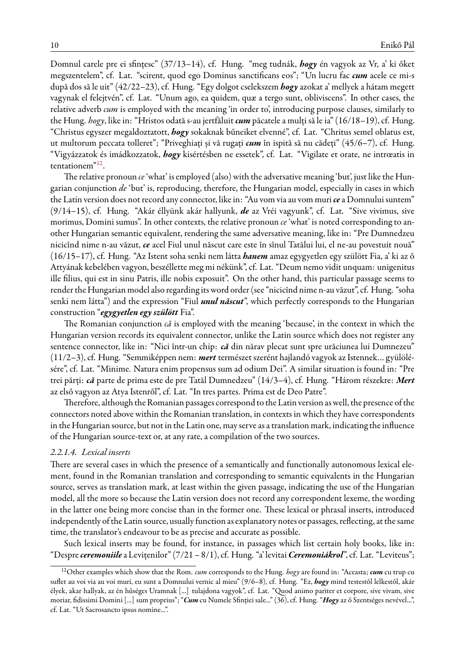Domnul carele pre ei sfințesc" (37/13–14), cf. Hung. "meg tudnák, *hogy* én vagyok az Vr, a' ki őket megszentelem", cf. Lat. "scirent, quod ego Dominus sanctificans eos"; "Un lucru fac *cum* acele ce mi-s după dos să le uit" (42/22–23), cf. Hung. "Egy dolgot cselekszem *hogy* azokat a' mellyek a hátam megett vagynak el felejtvén", cf. Lat. "Unum ago, ea quidem, quæ a tergo sunt, obliviscens". In other cases, the relative adverb *cum* is employed with the meaning 'in order to', introducing purpose clauses, similarly to the Hung. *hogy*, like in: "Hristos odată s-au jertfăluit *cum* păcatele a mulți să le ia" (16/18–19), cf. Hung. "Christus egyszer megaldoztatott, *hogy* sokaknak bűneiket elvenné", cf. Lat. "Chritus semel oblatus est, ut multorum peccata tolleret"; "Priveghiați și vă rugați *cum* în ispită să nu cădeți" (45/6–7), cf. Hung. "Vigyázzatok és imádkozzatok, *hogy* kisértésben ne essetek", cf. Lat. "Vigilate et orate, ne intrœatis in tentationem"[12](#page-9-0) .

The relative pronoun *ce*'what' is employed (also) with the adversative meaning 'but', just like the Hungarian conjunction *de* 'but' is, reproducing, therefore, the Hungarian model, especially in cases in which the Latin version does not record any connector, like in: "Au vom via au vom muri*ce*a Domnului suntem" (9/14–15), cf. Hung. "Akár éllyünk akár hallyunk, *de* az Vréi vagyunk", cf. Lat. "Sive vivimus, sive morimus, Domini sumus". In other contexts, the relative pronoun *ce* 'what' is noted corresponding to another Hungarian semantic equivalent, rendering the same adversative meaning, like in: "Pre Dumnedzeu nicicînd nime n-au văzut, *ce* acel Fiul unul născut care este în sînul Tatălui lui, el ne-au povestuit nouă" (16/15–17), cf. Hung. "Az Istent soha senki nem látta *hanem* amaz egygyetlen egy szülött Fia, a' ki az ő Attyának kebelében vagyon, beszéllette meg mi nékünk", cf. Lat. "Deum nemo vidit unquam: unigenitus ille filius, qui est in sinu Patris, ille nobis exposuit". On the other hand, this particular passage seems to render the Hungarian model also regarding its word order (see "nicicînd nime n-au văzut", cf. Hung. "soha senki nem látta") and the expression "Fiul *unul născut*", which perfectly corresponds to the Hungarian construction "*egygyetlen egy szülött* Fia".

The Romanian conjunction *că* is employed with the meaning 'because', in the context in which the Hungarian version records its equivalent connector, unlike the Latin source which does not register any sentence connector, like in: "Nici într-un chip: *că* din nărav plecat sunt spre urăciunea lui Dumnezeu" (11/2–3), cf. Hung. "Semmiképpen nem: *mert* természet szerént hajlandó vagyok az Istennek… gyülölésére", cf. Lat. "Minime. Natura enim propensus sum ad odium Dei". A similar situation is found in: "Pre trei părți: *că* parte de prima este de pre Tatăl Dumnedzeu" (14/3–4), cf. Hung. "Három részekre: *Mert* az első vagyon az Atya Istenről", cf. Lat. "In tres partes. Prima est de Deo Patre".

Therefore, although the Romanian passages correspond to the Latin version as well, the presence of the connectors noted above within the Romanian translation, in contexts in which they have correspondents in the Hungarian source, but not in the Latin one, may serve as a translation mark, indicating the influence of the Hungarian source-text or, at any rate, a compilation of the two sources.

#### *2.2.1.4. Lexical inserts*

There are several cases in which the presence of a semantically and functionally autonomous lexical element, found in the Romanian translation and corresponding to semantic equivalents in the Hungarian source, serves as translation mark, at least within the given passage, indicating the use of the Hungarian model, all the more so because the Latin version does not record any correspondent lexeme, the wording in the latter one being more concise than in the former one. These lexical or phrasal inserts, introduced independently of the Latin source, usually function as explanatory notes or passages, reflecting, at the same time, the translator's endeavour to be as precise and accurate as possible.

Such lexical inserts may be found, for instance, in passages which list certain holy books, like in: "Despre*ceremoniile*a Levițenilor" (7/21 – 8/1), cf. Hung. "a' levitai*Ceremoniákrol*", cf. Lat. "Leviteus";

<span id="page-9-0"></span><sup>12</sup>Other examples which show that the Rom. *cum* corresponds to the Hung. *hogy* are found in: "Aceasta; *cum* cu trup cu suflet au voi via au voi muri, eu sunt a Domnului vernic al mieu" (9/6–8), cf. Hung. "Ez, *hogy* mind testestől lelkestől, akár élyek, akar hallyak, az én hűséges Uramnak [...] tulajdona vagyok", cf. Lat. "Quod animo pariter et corpore, sive vivam, sive moriar, fidissimi Domini [...] sum proprius"; "*Cum* cu Numele Sfinției sale..." (36), cf. Hung. "*Hogy* az ő Szentséges nevével...", cf. Lat. "Ut Sacrosancto ipsus nomine...".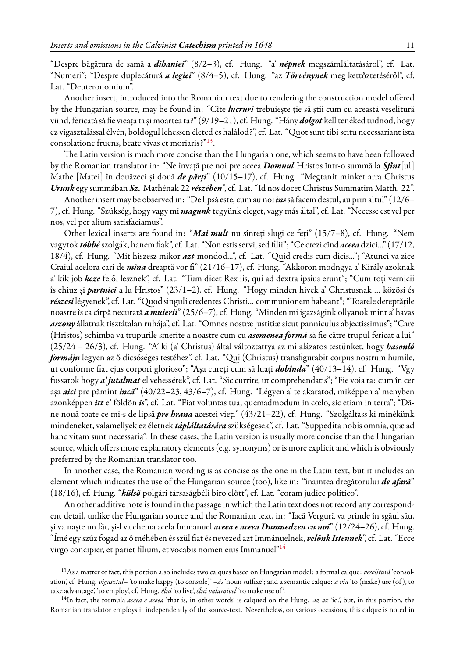"Despre băgătura de samă a *dihaniei*" (8/2–3), cf. Hung. "a' *népnek* megszámláltatásárol", cf. Lat. "Numeri"; "Despre duplecătură *a legiei*" (8/4–5), cf. Hung. "az *Törvénynek* meg kettőztetéséről", cf. Lat. "Deuteronomium".

Another insert, introduced into the Romanian text due to rendering the construction model offered by the Hungarian source, may be found in: "Cîte *lucruri* trebuiește ție să știi cum cu această veselitură viind, fericată să fie vieața ta și moartea ta?" (9/19–21), cf. Hung. "Hány *dolgot* kell tenéked tudnod, hogy ez vigasztalással élvén, boldogul lehessen életed és halálod?", cf. Lat. "Quot sunt tibi scitu necessariant ista consolatione fruens, beate vivas et moriaris?"<sup>[13](#page-10-0)</sup>.

The Latin version is much more concise than the Hungarian one, which seems to have been followed by the Romanian translator in: "Ne învață pre noi pre aceea *Domnul* Hristos într-o summă la *Sfînt*[ul] Mathe [Matei] în douăzeci și două *de părți*" (10/15–17), cf. Hung. "Megtanít minket arra Christus *Urunk* egy summában *Sz.* Mathénak 22 *részében*", cf. Lat. "Id nos docet Christus Summatim Matth. 22".

Another insert may be observed in: "De lipsă este, cum au noi *îns*săfacem destul, au prin altul" (12/6– 7), cf. Hung. "Szükség, hogy vagy mi *magunk* tegyünk eleget, vagy más által", cf. Lat. "Necesse est vel per nos, vel per alium satisfaciamus".

Other lexical inserts are found in: "*Mai mult* nu sînteți slugi ce feți" (15/7–8), cf. Hung. "Nem vagytok *többé*szolgák, hanem fiak", cf. Lat. "Non estis servi, sed filii"; "Ce crezi cînd *aceea* dzici..." (17/12, 18/4), cf. Hung. "Mit hiszesz mikor *azt* mondod...", cf. Lat. "Quid credis cum dicis..."; "Atunci va zice Craiul acelora cari de *mîna* dreaptă vor fi" (21/16–17), cf. Hung. "Akkoron modngya a' Király azoknak a' kik job *keze* felől lesznek", cf. Lat. "Tum dicet Rex iis, qui ad dextra ipsius erunt"; "Cum toți vernicii îs chiuz și *partnici* a lu Hristos" (23/1–2), cf. Hung. "Hogy minden hivek a' Christusnak … közösi és *részesi* légyenek", cf. Lat. "Quod singuli credentes Christi... communionem habeant"; "Toatele dereptățile noastre îs ca cîrpă necurată *a muierii*" (25/6–7), cf. Hung. "Minden mi igazságink ollyanok mint a' havas *aszony* állatnak tisztátalan ruhája", cf. Lat. "Omnes nostræ justitiæ sicut panniculus abjectissimus"; "Care (Hristos) schimba va trupurile smerite a noastre cum cu *asemenea formă* să fie către trupul fericat a lui" (25/24 – 26/3), cf. Hung. "A' ki (a' Christus) által változtattya az mi alázatos testünket, hogy *hasonló formáju* legyen az ő dicsőséges testéhez", cf. Lat. "Qui (Christus) transfigurabit corpus nostrum humile, ut conforme fiat ejus corpori glorioso"; "Așa cureți cum să luați *dobînda*" (40/13–14), cf. Hung. "Vgy fussatok hogy *a' jutalmat* el vehessétek", cf. Lat. "Sic currite, ut comprehendatis"; "Fie voia ta: cum în cer așa *aici* pre pămînt *încă*" (40/22–23, 43/6–7), cf. Hung. "Légyen a' te akaratod, miképpen a' menyben azonképpen *itt* e' földön *is*", cf. Lat. "Fiat voluntas tua, quemadmodum in cœlo, sic etiam in terra"; "Dăne nouă toate ce mi-s de lipsă *pre hrana* acestei vieți" (43/21–22), cf. Hung. "Szolgáltass ki minékünk mindeneket, valamellyek ez életnek *tápláltatására* szükségesek", cf. Lat. "Suppedita nobis omnia, quæ ad hanc vitam sunt necessaria". In these cases, the Latin version is usually more concise than the Hungarian source, which offers more explanatory elements (e.g. synonyms) or is more explicit and which is obviously preferred by the Romanian translator too.

In another case, the Romanian wording is as concise as the one in the Latin text, but it includes an element which indicates the use of the Hungarian source (too), like in: "înaintea dregătorului *de afară*" (18/16), cf. Hung. "*külső* polgári társaságbéli bíró előtt", cf. Lat. "coram judice politico".

An other additive note is found in the passage in which the Latin text does not record any correspondent detail, unlike the Hungarian source and the Romanian text, in: "Iacă Vergură va prinde în sgăul său, și va naște un făt, și-l va chema acela Immanuel *aceea e aceea Dumnedzeu cu noi*" (12/24–26), cf. Hung. "Ímé egy szűz fogad az ő méhében és szül fiat és nevezed azt Immánuelnek, *velőnk Istennek*", cf. Lat. "Ecce virgo concipier, et pariet filium, et vocabis nomen eius Immanuel"<sup>[14](#page-10-1)</sup>

<span id="page-10-0"></span><sup>13</sup>As a matter of fact, this portion also includes two calques based on Hungarian model: a formal calque: *veselitură* 'consolation', cf. Hung. *vigasztal–* 'to make happy (to console)' *–ás* 'noun suffixe'; and a semantic calque: *a via* 'to (make) use (of ), to take advantage', 'to employ', cf. Hung. *élni* 'to live', *élni valamivel* 'to make use of '.

<span id="page-10-1"></span><sup>14</sup>In fact, the formula *aceea e aceea* 'that is, in other words' is calqued on the Hung. *az az* 'id.', but, in this portion, the Romanian translator employs it independently of the source-text. Nevertheless, on various occasions, this calque is noted in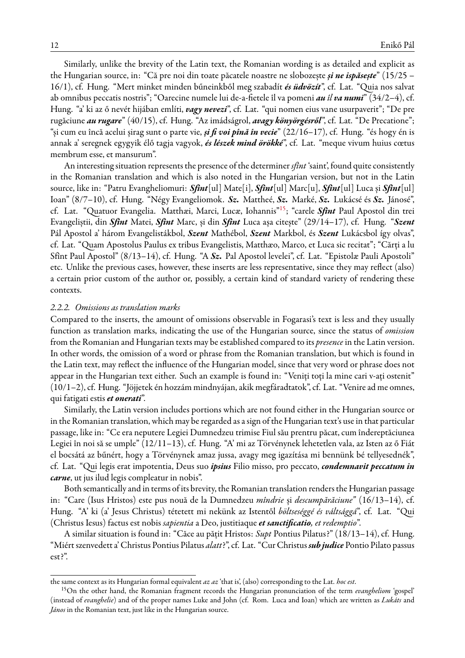Similarly, unlike the brevity of the Latin text, the Romanian wording is as detailed and explicit as the Hungarian source, in: "Că pre noi din toate păcatele noastre ne slobozește *și ne ispăsește*" (15/25 – 16/1), cf. Hung. "Mert minket minden bűneinkből meg szabadít *és üdvözít*", cf. Lat. "Quia nos salvat ab omnibus peccatis nostris"; "Oarecine numele lui de-a-fietele îl va pomeni *au îl va numi*" (34/2–4), cf. Hung. "a' ki az ő nevét hijában említi, *vagy nevezi*", cf. Lat. "qui nomen eius vane usurpaverit"; "De pre rugăciune *au rugare*" (40/15), cf. Hung. "Az imádságrol, *avagy könyörgésről*", cf. Lat. "De Precatione"; "și cum eu încă acelui șirag sunt o parte vie, *și fi voi pînă în vecie*" (22/16–17), cf. Hung. "és hogy én is annak a' seregnek egygyik élő tagja vagyok, *és lészek mind örökké*", cf. Lat. "meque vivum huius cœtus membrum esse, et mansurum".

An interesting situation represents the presence of the determiner*sfînt* 'saint', found quite consistently in the Romanian translation and which is also noted in the Hungarian version, but not in the Latin source, like in: "Patru Evangheliomuri: *Sfînt*[ul] Mate[i], *Sfînt*[ul] Marc[u], *Sfînt*[ul] Luca și *Sfînt*[ul] Ioan" (8/7–10), cf. Hung. "Négy Evangeliomok. *Sz.* Mattheé, *Sz.* Marké, *Sz.* Lukácsé és *Sz.* Jánosé", cf. Lat. "Quatuor Evangelia. Matthæi, Marci, Lucæ, Iohannis"[15](#page-11-0); "carele *Sfînt* Paul Apostol din trei Evangeliștii, din *Sfînt* Matei, *Sfînt* Marc, și din *Sfînt* Luca așa citește" (29/14–17), cf. Hung. "*Szent* Pál Apostol a' három Evangelistákbol, *Szent* Mathébol, *Szent* Markbol, és *Szent* Lukácsbol így olvas", cf. Lat. "Quam Apostolus Paulus ex tribus Evangelistis, Matthæo, Marco, et Luca sic recitat"; "Cărți a lu Sfînt Paul Apostol" (8/13–14), cf. Hung. "A *Sz.* Pal Apostol levelei", cf. Lat. "Epistolæ Pauli Apostoli" etc. Unlike the previous cases, however, these inserts are less representative, since they may reflect (also) a certain prior custom of the author or, possibly, a certain kind of standard variety of rendering these contexts.

#### *2.2.2. Omissions as translation marks*

Compared to the inserts, the amount of omissions observable in Fogarasi's text is less and they usually function as translation marks, indicating the use of the Hungarian source, since the status of *omission* from the Romanian and Hungarian texts may be established compared to its *presence* in the Latin version. In other words, the omission of a word or phrase from the Romanian translation, but which is found in the Latin text, may reflect the influence of the Hungarian model, since that very word or phrase does not appear in the Hungarian text either. Such an example is found in: "Veniți toți la mine cari v-ați ostenit" (10/1–2), cf. Hung. "Jöjjetek én hozzám mindnyájan, akik megfáradtatok", cf. Lat. "Venire ad me omnes, qui fatigati estis *et onerati*".

Similarly, the Latin version includes portions which are not found either in the Hungarian source or in the Romanian translation, which may be regarded as a sign of the Hungarian text's use in that particular passage, like in: "Ce era neputere Legiei Dumnedzeu trimise Fiul său prentru păcat, cum îndereptăciunea Legiei în noi să se umple" (12/11–13), cf. Hung. "A' mi az Törvénynek lehetetlen vala, az Isten az ő Fiát el bocsátá az bűnért, hogy a Törvénynek amaz jussa, avagy meg igazítása mi bennünk bé tellyesednék", cf. Lat. "Qui legis erat impotentia, Deus suo *ipsius* Filio misso, pro peccato, *condemnavit peccatum in carne*, ut jus ilud legis compleatur in nobis".

Both semantically and in terms of its brevity, the Romanian translation renders the Hungarian passage in: "Care (Isus Hristos) este pus nouă de la Dumnedzeu *mîndrie* și *descumpărăciune"* (16/13–14), cf. Hung. "A' ki (a' Jesus Christus) tétetett mi nekünk az Istentől *böltseséggé és váltsággá*", cf. Lat. "Qui (Christus Iesus) factus est nobis *sapientia* a Deo, justitiaque *et sanctificatio, et redemptio*".

A similar situation is found in: "Căce au pățit Hristos: *Supt* Pontius Pilatus?" (18/13–14), cf. Hung. "Miért szenvedett a' Christus Pontius Pilatus *alatt*?", cf. Lat. "Cur Christus*sub judice* Pontio Pilato passus est?".

the same context as its Hungarian formal equivalent *az az* 'that is', (also) corresponding to the Lat. *hoc est*.

<span id="page-11-0"></span><sup>15</sup>On the other hand, the Romanian fragment records the Hungarian pronunciation of the term *evangheliom* 'gospel' (instead of *evanghelie*) and of the proper names Luke and John (cf. Rom. Luca and Ioan) which are written as *Lukáts* and *János* in the Romanian text, just like in the Hungarian source.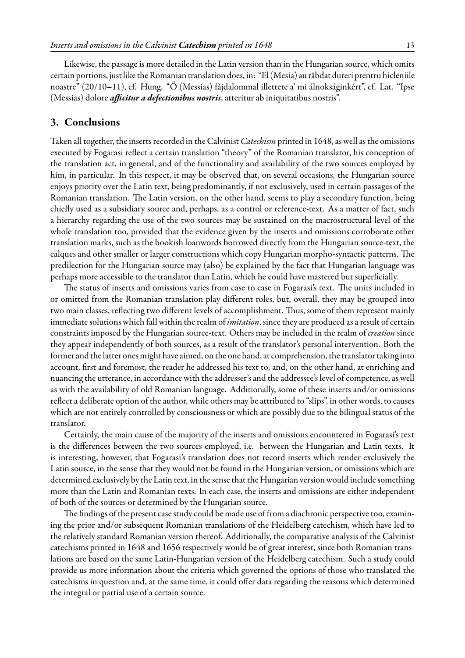Likewise, the passage is more detailed in the Latin version than in the Hungarian source, which omits certain portions, just like the Romanian translation does, in: "El (Mesia) au răbdat dureri prentru hicleniile noastre" (20/10–11), cf. Hung. "Ő (Messias) fájdalommal illettete a' mi álnokságinkért", cf. Lat. "Ipse (Messias) dolore *afficitur a defectionibus nostris*, atteritur ab iniquitatibus nostris".

# **3. Conclusions**

Taken all together, the inserts recorded in the Calvinist*Catechism* printed in 1648, as well as the omissions executed by Fogarasi reflect a certain translation "theory" of the Romanian translator, his conception of the translation act, in general, and of the functionality and availability of the two sources employed by him, in particular. In this respect, it may be observed that, on several occasions, the Hungarian source enjoys priority over the Latin text, being predominantly, if not exclusively, used in certain passages of the Romanian translation. The Latin version, on the other hand, seems to play a secondary function, being chiefly used as a subsidiary source and, perhaps, as a control or reference-text. As a matter of fact, such a hierarchy regarding the use of the two sources may be sustained on the macrostructural level of the whole translation too, provided that the evidence given by the inserts and omissions corroborate other translation marks, such as the bookish loanwords borrowed directly from the Hungarian source-text, the calques and other smaller or larger constructions which copy Hungarian morpho-syntactic patterns. The predilection for the Hungarian source may (also) be explained by the fact that Hungarian language was perhaps more accessible to the translator than Latin, which he could have mastered but superficially.

The status of inserts and omissions varies from case to case in Fogarasi's text. The units included in or omitted from the Romanian translation play different roles, but, overall, they may be grouped into two main classes, reflecting two different levels of accomplishment. Thus, some of them represent mainly immediate solutions which fall within the realm of *imitation*, since they are produced as a result of certain constraints imposed by the Hungarian source-text. Others may be included in the realm of *creation* since they appear independently of both sources, as a result of the translator's personal intervention. Both the former and the latter ones might have aimed, on the one hand, at comprehension, the translator taking into account, first and foremost, the reader he addressed his text to, and, on the other hand, at enriching and nuancing the utterance, in accordance with the addresser's and the addressee's level of competence, as well as with the availability of old Romanian language. Additionally, some of these inserts and/or omissions reflect a deliberate option of the author, while others may be attributed to "slips", in other words, to causes which are not entirely controlled by consciousness or which are possibly due to the bilingual status of the translator.

Certainly, the main cause of the majority of the inserts and omissions encountered in Fogarasi's text is the differences between the two sources employed, i.e. between the Hungarian and Latin texts. It is interesting, however, that Fogarasi's translation does not record inserts which render exclusively the Latin source, in the sense that they would not be found in the Hungarian version, or omissions which are determined exclusively by the Latin text, in the sense that the Hungarian version would include something more than the Latin and Romanian texts. In each case, the inserts and omissions are either independent of both of the sources or determined by the Hungarian source.

The findings of the present case study could be made use of from a diachronic perspective too, examining the prior and/or subsequent Romanian translations of the Heidelberg catechism, which have led to the relatively standard Romanian version thereof. Additionally, the comparative analysis of the Calvinist catechisms printed in 1648 and 1656 respectively would be of great interest, since both Romanian translations are based on the same Latin-Hungarian version of the Heidelberg catechism. Such a study could provide us more information about the criteria which governed the options of those who translated the catechisms in question and, at the same time, it could offer data regarding the reasons which determined the integral or partial use of a certain source.